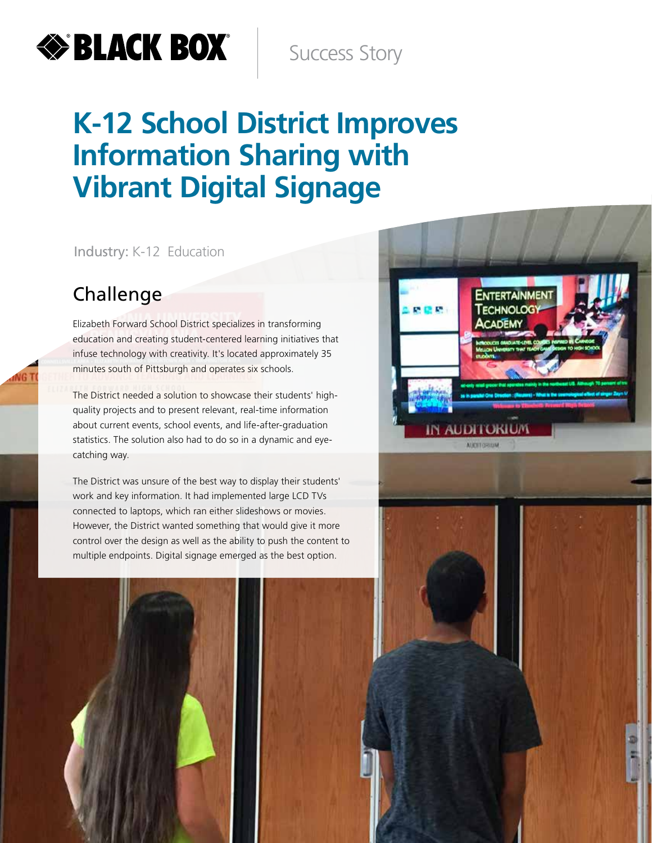# **EXPERIENCE BOX**

Success Story

## **K-12 School District Improves Information Sharing with Vibrant Digital Signage**

Industry: K-12 Education



#### Challenge

NG<sub>1</sub>

Elizabeth Forward School District specializes in transforming education and creating student-centered learning initiatives that infuse technology with creativity. It's located approximately 35 minutes south of Pittsburgh and operates six schools.

The District needed a solution to showcase their students' highquality projects and to present relevant, real-time information about current events, school events, and life-after-graduation statistics. The solution also had to do so in a dynamic and eyecatching way.

The District was unsure of the best way to display their students' work and key information. It had implemented large LCD TVs connected to laptops, which ran either slideshows or movies. However, the District wanted something that would give it more control over the design as well as the ability to push the content to multiple endpoints. Digital signage emerged as the best option.